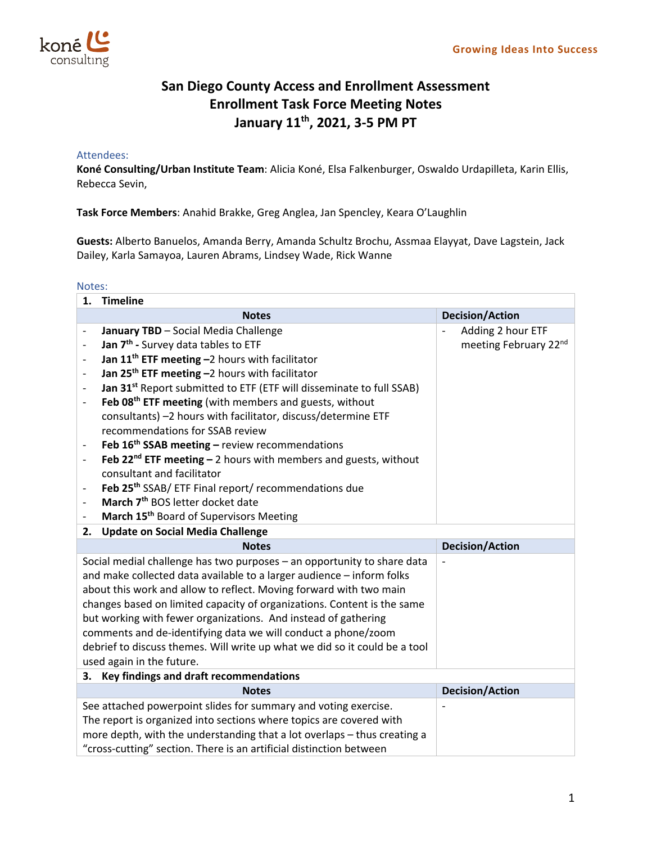

## **San Diego County Access and Enrollment Assessment Enrollment Task Force Meeting Notes January 11th, 2021, 3‐5 PM PT**

## Attendees:

**Koné Consulting/Urban Institute Team**: Alicia Koné, Elsa Falkenburger, Oswaldo Urdapilleta, Karin Ellis, Rebecca Sevin,

**Task Force Members**: Anahid Brakke, Greg Anglea, Jan Spencley, Keara O'Laughlin

**Guests:** Alberto Banuelos, Amanda Berry, Amanda Schultz Brochu, Assmaa Elayyat, Dave Lagstein, Jack Dailey, Karla Samayoa, Lauren Abrams, Lindsey Wade, Rick Wanne

## Notes:

| 1.                                                                      | <b>Timeline</b>                                                                  |                        |  |  |  |
|-------------------------------------------------------------------------|----------------------------------------------------------------------------------|------------------------|--|--|--|
|                                                                         | <b>Notes</b>                                                                     | <b>Decision/Action</b> |  |  |  |
|                                                                         | January TBD - Social Media Challenge                                             | Adding 2 hour ETF      |  |  |  |
|                                                                         | Jan 7 <sup>th</sup> - Survey data tables to ETF                                  | meeting February 22nd  |  |  |  |
|                                                                         | Jan 11 <sup>th</sup> ETF meeting -2 hours with facilitator                       |                        |  |  |  |
|                                                                         | Jan 25 <sup>th</sup> ETF meeting -2 hours with facilitator                       |                        |  |  |  |
|                                                                         | Jan 31 <sup>st</sup> Report submitted to ETF (ETF will disseminate to full SSAB) |                        |  |  |  |
| $\overline{\phantom{a}}$                                                | Feb 08 <sup>th</sup> ETF meeting (with members and guests, without               |                        |  |  |  |
|                                                                         | consultants) -2 hours with facilitator, discuss/determine ETF                    |                        |  |  |  |
|                                                                         | recommendations for SSAB review                                                  |                        |  |  |  |
|                                                                         | Feb 16 <sup>th</sup> SSAB meeting - review recommendations                       |                        |  |  |  |
|                                                                         | Feb 22 <sup>nd</sup> ETF meeting $-$ 2 hours with members and guests, without    |                        |  |  |  |
|                                                                         | consultant and facilitator                                                       |                        |  |  |  |
| $\qquad \qquad -$                                                       | Feb 25 <sup>th</sup> SSAB/ ETF Final report/ recommendations due                 |                        |  |  |  |
|                                                                         | March 7 <sup>th</sup> BOS letter docket date                                     |                        |  |  |  |
| $\qquad \qquad -$                                                       | March 15 <sup>th</sup> Board of Supervisors Meeting                              |                        |  |  |  |
| 2.                                                                      | <b>Update on Social Media Challenge</b>                                          |                        |  |  |  |
|                                                                         | <b>Notes</b>                                                                     | <b>Decision/Action</b> |  |  |  |
|                                                                         | Social medial challenge has two purposes - an opportunity to share data          |                        |  |  |  |
|                                                                         | and make collected data available to a larger audience - inform folks            |                        |  |  |  |
|                                                                         | about this work and allow to reflect. Moving forward with two main               |                        |  |  |  |
| changes based on limited capacity of organizations. Content is the same |                                                                                  |                        |  |  |  |
| but working with fewer organizations. And instead of gathering          |                                                                                  |                        |  |  |  |
|                                                                         | comments and de-identifying data we will conduct a phone/zoom                    |                        |  |  |  |
|                                                                         | debrief to discuss themes. Will write up what we did so it could be a tool       |                        |  |  |  |
|                                                                         | used again in the future.                                                        |                        |  |  |  |
| Key findings and draft recommendations<br>3.                            |                                                                                  |                        |  |  |  |
|                                                                         | <b>Notes</b>                                                                     | <b>Decision/Action</b> |  |  |  |
|                                                                         | See attached powerpoint slides for summary and voting exercise.                  |                        |  |  |  |
|                                                                         | The report is organized into sections where topics are covered with              |                        |  |  |  |
|                                                                         | more depth, with the understanding that a lot overlaps - thus creating a         |                        |  |  |  |
|                                                                         | "cross-cutting" section. There is an artificial distinction between              |                        |  |  |  |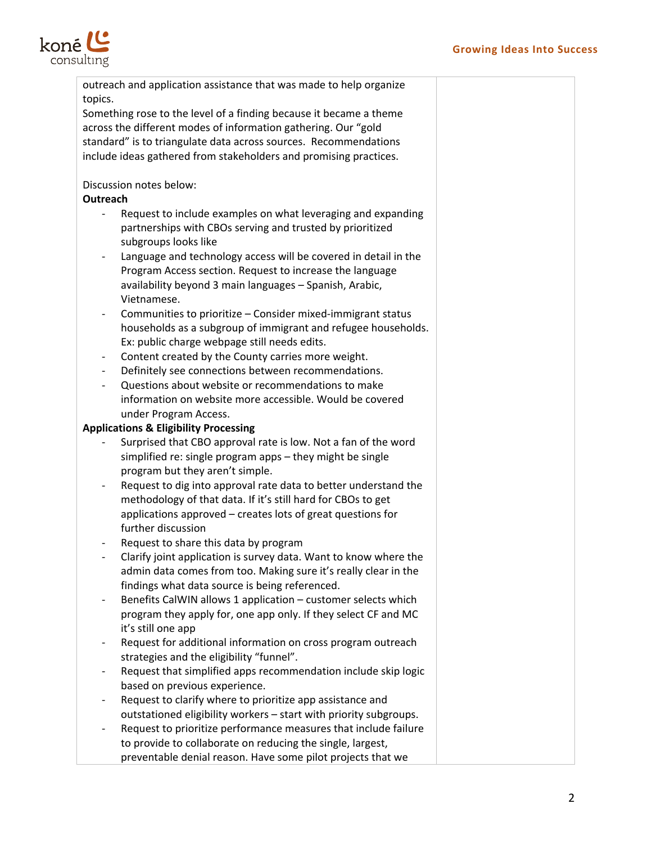

|                                                  | outreach and application assistance that was made to help organize |  |  |  |  |  |
|--------------------------------------------------|--------------------------------------------------------------------|--|--|--|--|--|
| topics.                                          |                                                                    |  |  |  |  |  |
|                                                  | Something rose to the level of a finding because it became a theme |  |  |  |  |  |
|                                                  | across the different modes of information gathering. Our "gold     |  |  |  |  |  |
|                                                  | standard" is to triangulate data across sources. Recommendations   |  |  |  |  |  |
|                                                  | include ideas gathered from stakeholders and promising practices.  |  |  |  |  |  |
|                                                  | Discussion notes below:                                            |  |  |  |  |  |
| Outreach                                         |                                                                    |  |  |  |  |  |
|                                                  | Request to include examples on what leveraging and expanding       |  |  |  |  |  |
|                                                  | partnerships with CBOs serving and trusted by prioritized          |  |  |  |  |  |
|                                                  | subgroups looks like                                               |  |  |  |  |  |
|                                                  | Language and technology access will be covered in detail in the    |  |  |  |  |  |
|                                                  | Program Access section. Request to increase the language           |  |  |  |  |  |
|                                                  | availability beyond 3 main languages - Spanish, Arabic,            |  |  |  |  |  |
|                                                  | Vietnamese.                                                        |  |  |  |  |  |
|                                                  | Communities to prioritize - Consider mixed-immigrant status        |  |  |  |  |  |
|                                                  | households as a subgroup of immigrant and refugee households.      |  |  |  |  |  |
|                                                  | Ex: public charge webpage still needs edits.                       |  |  |  |  |  |
|                                                  | Content created by the County carries more weight.                 |  |  |  |  |  |
|                                                  | Definitely see connections between recommendations.                |  |  |  |  |  |
| $\overline{\phantom{a}}$                         | Questions about website or recommendations to make                 |  |  |  |  |  |
|                                                  | information on website more accessible. Would be covered           |  |  |  |  |  |
|                                                  | under Program Access.                                              |  |  |  |  |  |
| <b>Applications &amp; Eligibility Processing</b> |                                                                    |  |  |  |  |  |
|                                                  | Surprised that CBO approval rate is low. Not a fan of the word     |  |  |  |  |  |
|                                                  | simplified re: single program apps - they might be single          |  |  |  |  |  |
|                                                  | program but they aren't simple.                                    |  |  |  |  |  |
|                                                  | Request to dig into approval rate data to better understand the    |  |  |  |  |  |
|                                                  | methodology of that data. If it's still hard for CBOs to get       |  |  |  |  |  |
|                                                  | applications approved - creates lots of great questions for        |  |  |  |  |  |
|                                                  | further discussion                                                 |  |  |  |  |  |
|                                                  | Request to share this data by program                              |  |  |  |  |  |
|                                                  | Clarify joint application is survey data. Want to know where the   |  |  |  |  |  |
|                                                  | admin data comes from too. Making sure it's really clear in the    |  |  |  |  |  |
|                                                  | findings what data source is being referenced.                     |  |  |  |  |  |
|                                                  | Benefits CalWIN allows 1 application - customer selects which      |  |  |  |  |  |
|                                                  | program they apply for, one app only. If they select CF and MC     |  |  |  |  |  |
|                                                  | it's still one app                                                 |  |  |  |  |  |
|                                                  | Request for additional information on cross program outreach       |  |  |  |  |  |
|                                                  | strategies and the eligibility "funnel".                           |  |  |  |  |  |
|                                                  | Request that simplified apps recommendation include skip logic     |  |  |  |  |  |
|                                                  | based on previous experience.                                      |  |  |  |  |  |
|                                                  | Request to clarify where to prioritize app assistance and          |  |  |  |  |  |
|                                                  | outstationed eligibility workers - start with priority subgroups.  |  |  |  |  |  |
|                                                  | Request to prioritize performance measures that include failure    |  |  |  |  |  |
|                                                  | to provide to collaborate on reducing the single, largest,         |  |  |  |  |  |
|                                                  | preventable denial reason. Have some pilot projects that we        |  |  |  |  |  |